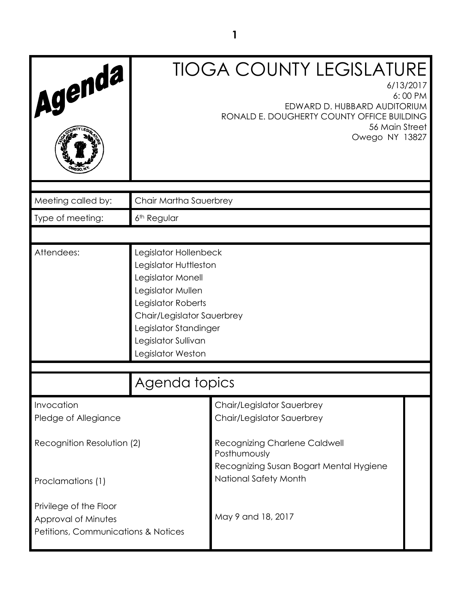| Agenda                                                                               | <b>TIOGA COUNTY LEGISLATURE</b><br>6/13/2017<br>6:00 PM<br>EDWARD D. HUBBARD AUDITORIUM<br>RONALD E. DOUGHERTY COUNTY OFFICE BUILDING<br>56 Main Street<br>Owego NY 13827                                         |                                                                  |  |
|--------------------------------------------------------------------------------------|-------------------------------------------------------------------------------------------------------------------------------------------------------------------------------------------------------------------|------------------------------------------------------------------|--|
| Meeting called by:                                                                   | Chair Martha Sauerbrey                                                                                                                                                                                            |                                                                  |  |
| Type of meeting:                                                                     | 6 <sup>th</sup> Regular                                                                                                                                                                                           |                                                                  |  |
|                                                                                      |                                                                                                                                                                                                                   |                                                                  |  |
| Attendees:                                                                           | Legislator Hollenbeck<br>Legislator Huttleston<br>Legislator Monell<br>Legislator Mullen<br>Legislator Roberts<br>Chair/Legislator Sauerbrey<br>Legislator Standinger<br>Legislator Sullivan<br>Legislator Weston |                                                                  |  |
|                                                                                      | Agenda topics                                                                                                                                                                                                     |                                                                  |  |
| Invocation<br>Pledge of Allegiance                                                   |                                                                                                                                                                                                                   | Chair/Legislator Sauerbrey<br>Chair/Legislator Sauerbrey         |  |
| Recognition Resolution (2)                                                           |                                                                                                                                                                                                                   | <b>Recognizing Charlene Caldwell</b><br>Posthumously             |  |
| Proclamations (1)                                                                    |                                                                                                                                                                                                                   | Recognizing Susan Bogart Mental Hygiene<br>National Safety Month |  |
| Privilege of the Floor<br>Approval of Minutes<br>Petitions, Communications & Notices |                                                                                                                                                                                                                   | May 9 and 18, 2017                                               |  |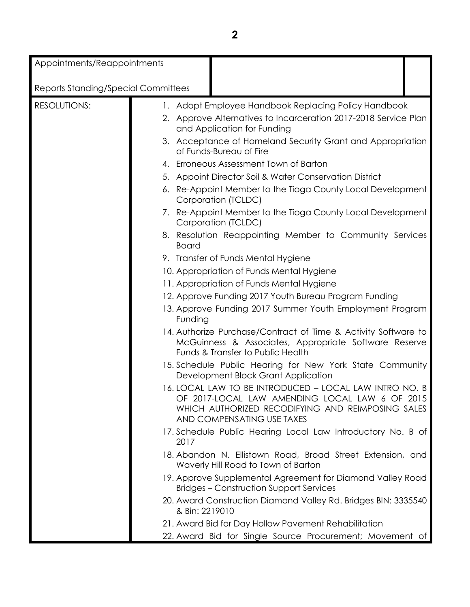Appointments/Reappointments

| Reports Standing/Special Committees |                                                                                                                                                                                             |
|-------------------------------------|---------------------------------------------------------------------------------------------------------------------------------------------------------------------------------------------|
| <b>RESOLUTIONS:</b>                 | 1. Adopt Employee Handbook Replacing Policy Handbook<br>2. Approve Alternatives to Incarceration 2017-2018 Service Plan<br>and Application for Funding                                      |
|                                     | 3. Acceptance of Homeland Security Grant and Appropriation<br>of Funds-Bureau of Fire                                                                                                       |
|                                     | 4. Erroneous Assessment Town of Barton                                                                                                                                                      |
|                                     | 5. Appoint Director Soil & Water Conservation District                                                                                                                                      |
|                                     | 6. Re-Appoint Member to the Tioga County Local Development<br>Corporation (TCLDC)                                                                                                           |
|                                     | 7. Re-Appoint Member to the Tioga County Local Development<br>Corporation (TCLDC)                                                                                                           |
|                                     | 8. Resolution Reappointing Member to Community Services<br><b>Board</b>                                                                                                                     |
|                                     | 9. Transfer of Funds Mental Hygiene                                                                                                                                                         |
|                                     | 10. Appropriation of Funds Mental Hygiene                                                                                                                                                   |
|                                     | 11. Appropriation of Funds Mental Hygiene                                                                                                                                                   |
|                                     | 12. Approve Funding 2017 Youth Bureau Program Funding                                                                                                                                       |
|                                     | 13. Approve Funding 2017 Summer Youth Employment Program<br>Funding                                                                                                                         |
|                                     | 14. Authorize Purchase/Contract of Time & Activity Software to<br>McGuinness & Associates, Appropriate Software Reserve<br>Funds & Transfer to Public Health                                |
|                                     | 15. Schedule Public Hearing for New York State Community<br>Development Block Grant Application                                                                                             |
|                                     | 16. LOCAL LAW TO BE INTRODUCED - LOCAL LAW INTRO NO. B<br>OF 2017-LOCAL LAW AMENDING LOCAL LAW 6 OF 2015<br>WHICH AUTHORIZED RECODIFYING AND REIMPOSING SALES<br>AND COMPENSATING USE TAXES |
|                                     | 17. Schedule Public Hearing Local Law Introductory No. B of<br>2017                                                                                                                         |
|                                     | 18. Abandon N. Ellistown Road, Broad Street Extension, and<br>Waverly Hill Road to Town of Barton                                                                                           |
|                                     | 19. Approve Supplemental Agreement for Diamond Valley Road<br><b>Bridges – Construction Support Services</b>                                                                                |
|                                     | 20. Award Construction Diamond Valley Rd. Bridges BIN: 3335540<br>& Bin: 2219010                                                                                                            |
|                                     | 21. Award Bid for Day Hollow Pavement Rehabilitation                                                                                                                                        |
|                                     | 22. Award Bid for Single Source Procurement; Movement of                                                                                                                                    |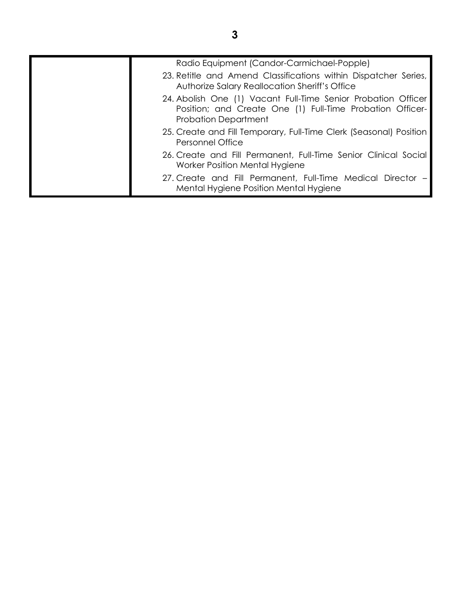| Radio Equipment (Candor-Carmichael-Popple)<br>23. Retitle and Amend Classifications within Dispatcher Series,                                             |
|-----------------------------------------------------------------------------------------------------------------------------------------------------------|
| Authorize Salary Reallocation Sheriff's Office                                                                                                            |
| 24. Abolish One (1) Vacant Full-Time Senior Probation Officer<br>Position; and Create One (1) Full-Time Probation Officer-<br><b>Probation Department</b> |
| 25. Create and Fill Temporary, Full-Time Clerk (Seasonal) Position<br><b>Personnel Office</b>                                                             |
| 26. Create and Fill Permanent, Full-Time Senior Clinical Social<br>Worker Position Mental Hygiene                                                         |
| 27. Create and Fill Permanent, Full-Time Medical Director –<br>Mental Hygiene Position Mental Hygiene                                                     |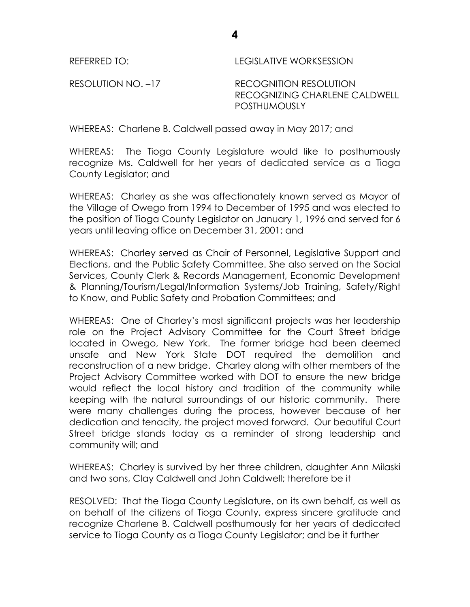REFERRED TO: LEGISLATIVE WORKSESSION

RESOLUTION NO. -17 RECOGNITION RESOLUTION RECOGNIZING CHARLENE CALDWELL **POSTHUMOUSLY** 

WHEREAS: Charlene B. Caldwell passed away in May 2017; and

WHEREAS: The Tioga County Legislature would like to posthumously recognize Ms. Caldwell for her years of dedicated service as a Tioga County Legislator; and

WHEREAS: Charley as she was affectionately known served as Mayor of the Village of Owego from 1994 to December of 1995 and was elected to the position of Tioga County Legislator on January 1, 1996 and served for 6 years until leaving office on December 31, 2001; and

WHEREAS: Charley served as Chair of Personnel, Legislative Support and Elections, and the Public Safety Committee. She also served on the Social Services, County Clerk & Records Management, Economic Development & Planning/Tourism/Legal/Information Systems/Job Training, Safety/Right to Know, and Public Safety and Probation Committees; and

WHEREAS: One of Charley's most significant projects was her leadership role on the Project Advisory Committee for the Court Street bridge located in Owego, New York. The former bridge had been deemed unsafe and New York State DOT required the demolition and reconstruction of a new bridge. Charley along with other members of the Project Advisory Committee worked with DOT to ensure the new bridge would reflect the local history and tradition of the community while keeping with the natural surroundings of our historic community. There were many challenges during the process, however because of her dedication and tenacity, the project moved forward. Our beautiful Court Street bridge stands today as a reminder of strong leadership and community will; and

WHEREAS: Charley is survived by her three children, daughter Ann Milaski and two sons, Clay Caldwell and John Caldwell; therefore be it

RESOLVED: That the Tioga County Legislature, on its own behalf, as well as on behalf of the citizens of Tioga County, express sincere gratitude and recognize Charlene B. Caldwell posthumously for her years of dedicated service to Tioga County as a Tioga County Legislator; and be it further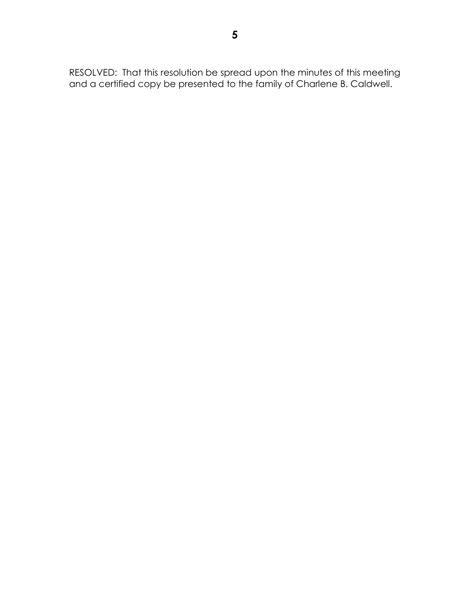RESOLVED: That this resolution be spread upon the minutes of this meeting and a certified copy be presented to the family of Charlene B. Caldwell.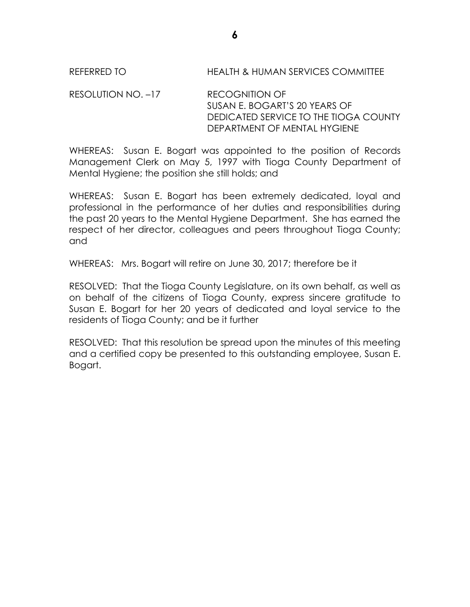RESOLUTION NO. –17 RECOGNITION OF SUSAN E. BOGART'S 20 YEARS OF DEDICATED SERVICE TO THE TIOGA COUNTY DEPARTMENT OF MENTAL HYGIENE

WHEREAS: Susan E. Bogart was appointed to the position of Records Management Clerk on May 5, 1997 with Tioga County Department of Mental Hygiene; the position she still holds; and

WHEREAS: Susan E. Bogart has been extremely dedicated, loyal and professional in the performance of her duties and responsibilities during the past 20 years to the Mental Hygiene Department. She has earned the respect of her director, colleagues and peers throughout Tioga County; and

WHEREAS: Mrs. Bogart will retire on June 30, 2017; therefore be it

RESOLVED: That the Tioga County Legislature, on its own behalf, as well as on behalf of the citizens of Tioga County, express sincere gratitude to Susan E. Bogart for her 20 years of dedicated and loyal service to the residents of Tioga County; and be it further

RESOLVED: That this resolution be spread upon the minutes of this meeting and a certified copy be presented to this outstanding employee, Susan E. Bogart.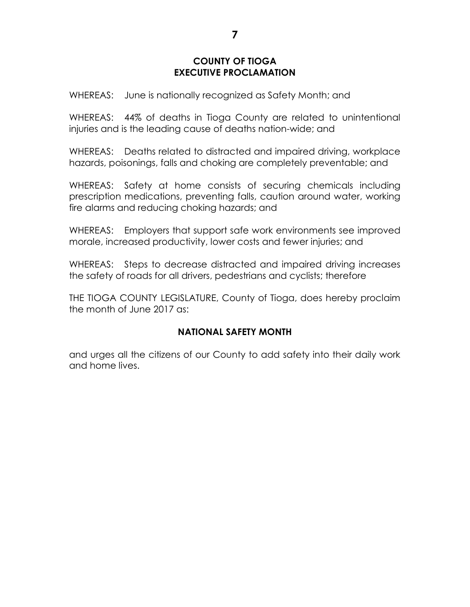### **COUNTY OF TIOGA EXECUTIVE PROCLAMATION**

WHEREAS: June is nationally recognized as Safety Month; and

WHEREAS: 44% of deaths in Tioga County are related to unintentional injuries and is the leading cause of deaths nation-wide; and

WHEREAS: Deaths related to distracted and impaired driving, workplace hazards, poisonings, falls and choking are completely preventable; and

WHEREAS: Safety at home consists of securing chemicals including prescription medications, preventing falls, caution around water, working fire alarms and reducing choking hazards; and

WHEREAS: Employers that support safe work environments see improved morale, increased productivity, lower costs and fewer injuries; and

WHEREAS: Steps to decrease distracted and impaired driving increases the safety of roads for all drivers, pedestrians and cyclists; therefore

THE TIOGA COUNTY LEGISLATURE, County of Tioga, does hereby proclaim the month of June 2017 as:

# **NATIONAL SAFETY MONTH**

and urges all the citizens of our County to add safety into their daily work and home lives.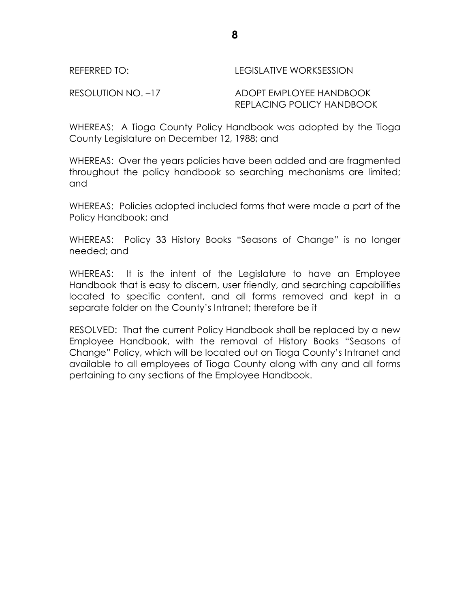#### REFERRED TO: LEGISLATIVE WORKSESSION

RESOLUTION NO. –17 ADOPT EMPLOYEE HANDBOOK REPLACING POLICY HANDBOOK

WHEREAS: A Tioga County Policy Handbook was adopted by the Tioga County Legislature on December 12, 1988; and

WHEREAS: Over the years policies have been added and are fragmented throughout the policy handbook so searching mechanisms are limited; and

WHEREAS: Policies adopted included forms that were made a part of the Policy Handbook; and

WHEREAS: Policy 33 History Books "Seasons of Change" is no longer needed; and

WHEREAS: It is the intent of the Legislature to have an Employee Handbook that is easy to discern, user friendly, and searching capabilities located to specific content, and all forms removed and kept in a separate folder on the County's Intranet; therefore be it

RESOLVED: That the current Policy Handbook shall be replaced by a new Employee Handbook, with the removal of History Books "Seasons of Change" Policy, which will be located out on Tioga County's Intranet and available to all employees of Tioga County along with any and all forms pertaining to any sections of the Employee Handbook.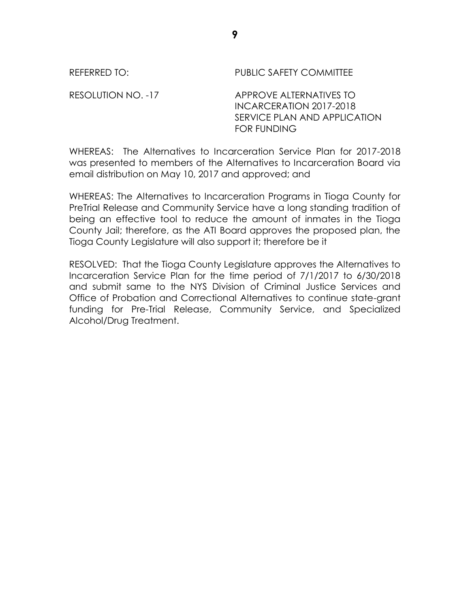REFERRED TO: The PUBLIC SAFETY COMMITTEE RESOLUTION NO. -17 APPROVE ALTERNATIVES TO INCARCERATION 2017-2018 SERVICE PLAN AND APPLICATION FOR FUNDING

WHEREAS: The Alternatives to Incarceration Service Plan for 2017-2018 was presented to members of the Alternatives to Incarceration Board via email distribution on May 10, 2017 and approved; and

WHEREAS: The Alternatives to Incarceration Programs in Tioga County for PreTrial Release and Community Service have a long standing tradition of being an effective tool to reduce the amount of inmates in the Tioga County Jail; therefore, as the ATI Board approves the proposed plan, the Tioga County Legislature will also support it; therefore be it

RESOLVED: That the Tioga County Legislature approves the Alternatives to Incarceration Service Plan for the time period of 7/1/2017 to 6/30/2018 and submit same to the NYS Division of Criminal Justice Services and Office of Probation and Correctional Alternatives to continue state-grant funding for Pre-Trial Release, Community Service, and Specialized Alcohol/Drug Treatment.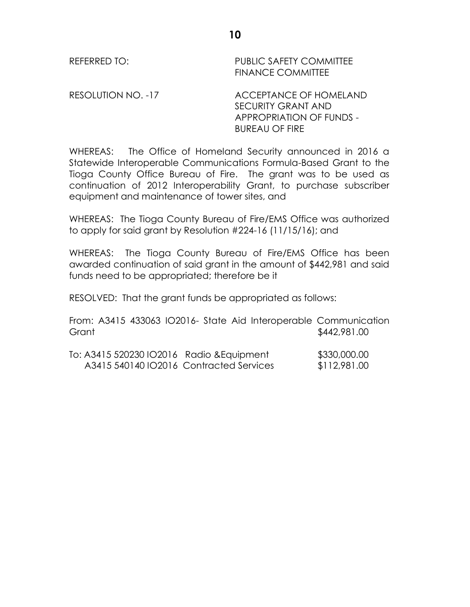REFERRED TO: PUBLIC SAFETY COMMITTEE FINANCE COMMITTEE

RESOLUTION NO. -17 ACCEPTANCE OF HOMELAND SECURITY GRANT AND APPROPRIATION OF FUNDS - BUREAU OF FIRE

WHEREAS: The Office of Homeland Security announced in 2016 a Statewide Interoperable Communications Formula-Based Grant to the Tioga County Office Bureau of Fire. The grant was to be used as continuation of 2012 Interoperability Grant, to purchase subscriber equipment and maintenance of tower sites, and

WHEREAS: The Tioga County Bureau of Fire/EMS Office was authorized to apply for said grant by Resolution #224-16 (11/15/16); and

WHEREAS: The Tioga County Bureau of Fire/EMS Office has been awarded continuation of said grant in the amount of \$442,981 and said funds need to be appropriated; therefore be it

RESOLVED: That the grant funds be appropriated as follows:

From: A3415 433063 IO2016- State Aid Interoperable Communication Grant \$442,981.00

| To: A3415 520230 IO2016 Radio & Equipment | \$330,000.00 |
|-------------------------------------------|--------------|
| A3415 540140 IO2016 Contracted Services   | \$112,981.00 |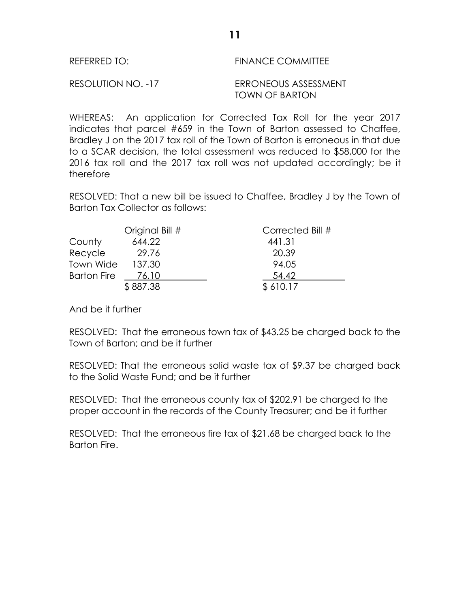| REFERRED TO:       | <b>FINANCE COMMITTEE</b>               |
|--------------------|----------------------------------------|
| RESOLUTION NO. -17 | ERRONEOUS ASSESSMENT<br>TOWN OF BARTON |

WHEREAS: An application for Corrected Tax Roll for the year 2017 indicates that parcel #659 in the Town of Barton assessed to Chaffee, Bradley J on the 2017 tax roll of the Town of Barton is erroneous in that due to a SCAR decision, the total assessment was reduced to \$58,000 for the 2016 tax roll and the 2017 tax roll was not updated accordingly; be it therefore

RESOLVED: That a new bill be issued to Chaffee, Bradley J by the Town of Barton Tax Collector as follows:

|                    | Original Bill # | Corrected Bill # |
|--------------------|-----------------|------------------|
| County             | 644.22          | 441.31           |
| Recycle            | 29.76           | 20.39            |
| Town Wide          | 137.30          | 94.05            |
| <b>Barton Fire</b> | 76.10           | 54.42            |
|                    | \$887.38        | \$610.17         |

And be it further

RESOLVED: That the erroneous town tax of \$43.25 be charged back to the Town of Barton; and be it further

RESOLVED: That the erroneous solid waste tax of \$9.37 be charged back to the Solid Waste Fund; and be it further

RESOLVED: That the erroneous county tax of \$202.91 be charged to the proper account in the records of the County Treasurer; and be it further

RESOLVED: That the erroneous fire tax of \$21.68 be charged back to the Barton Fire.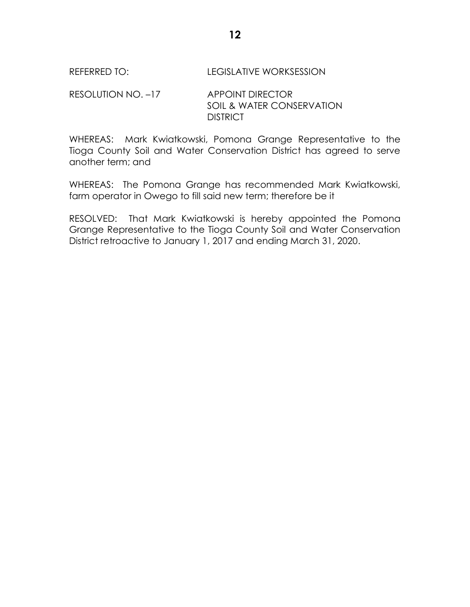RESOLUTION NO. -17 APPOINT DIRECTOR SOIL & WATER CONSERVATION **DISTRICT** 

WHEREAS: Mark Kwiatkowski, Pomona Grange Representative to the Tioga County Soil and Water Conservation District has agreed to serve another term; and

WHEREAS: The Pomona Grange has recommended Mark Kwiatkowski, farm operator in Owego to fill said new term; therefore be it

RESOLVED: That Mark Kwiatkowski is hereby appointed the Pomona Grange Representative to the Tioga County Soil and Water Conservation District retroactive to January 1, 2017 and ending March 31, 2020.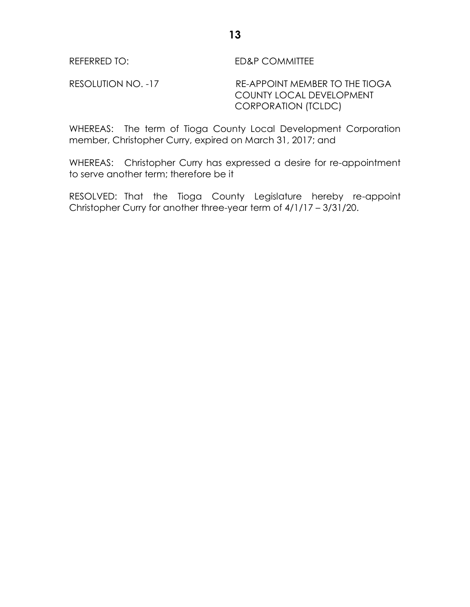REFERRED TO: ED&P COMMITTEE

RESOLUTION NO. -17 RE-APPOINT MEMBER TO THE TIOGA COUNTY LOCAL DEVELOPMENT CORPORATION (TCLDC)

WHEREAS: The term of Tioga County Local Development Corporation member, Christopher Curry, expired on March 31, 2017; and

WHEREAS: Christopher Curry has expressed a desire for re-appointment to serve another term; therefore be it

RESOLVED: That the Tioga County Legislature hereby re-appoint Christopher Curry for another three-year term of 4/1/17 – 3/31/20.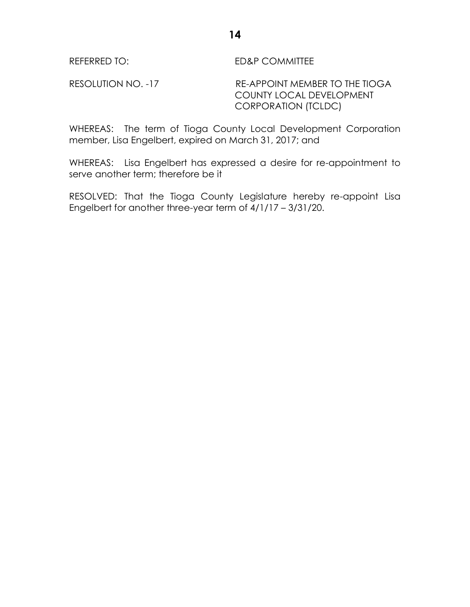REFERRED TO: ED&P COMMITTEE

RESOLUTION NO. -17 RE-APPOINT MEMBER TO THE TIOGA COUNTY LOCAL DEVELOPMENT CORPORATION (TCLDC)

WHEREAS: The term of Tioga County Local Development Corporation member, Lisa Engelbert, expired on March 31, 2017; and

WHEREAS: Lisa Engelbert has expressed a desire for re-appointment to serve another term; therefore be it

RESOLVED: That the Tioga County Legislature hereby re-appoint Lisa Engelbert for another three-year term of 4/1/17 – 3/31/20.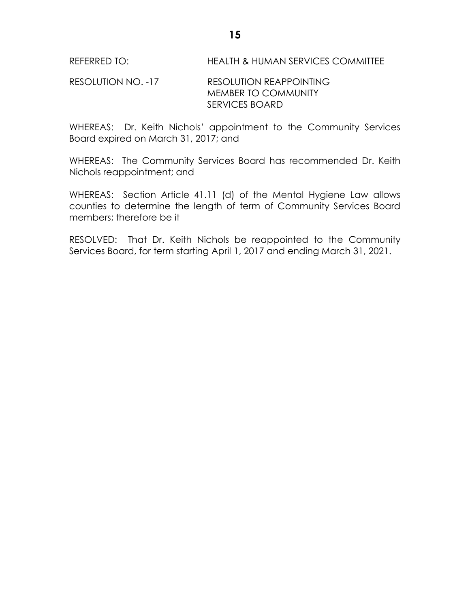## RESOLUTION NO. -17 RESOLUTION REAPPOINTING MEMBER TO COMMUNITY SERVICES BOARD

WHEREAS: Dr. Keith Nichols' appointment to the Community Services Board expired on March 31, 2017; and

WHEREAS: The Community Services Board has recommended Dr. Keith Nichols reappointment; and

WHEREAS: Section Article 41.11 (d) of the Mental Hygiene Law allows counties to determine the length of term of Community Services Board members; therefore be it

RESOLVED: That Dr. Keith Nichols be reappointed to the Community Services Board, for term starting April 1, 2017 and ending March 31, 2021.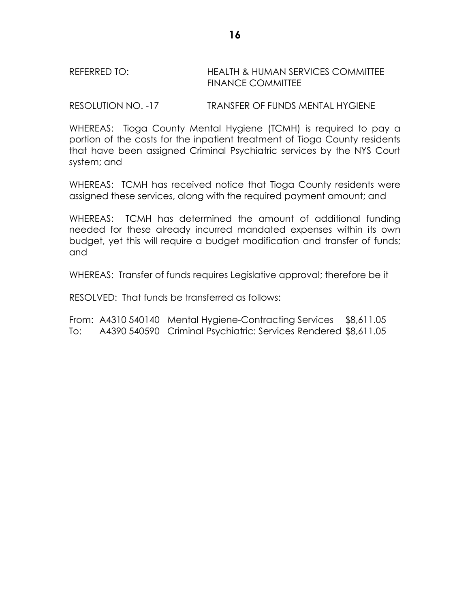## REFERRED TO: HEALTH & HUMAN SERVICES COMMITTEE FINANCE COMMITTEE

RESOLUTION NO. -17 TRANSFER OF FUNDS MENTAL HYGIENE

WHEREAS: Tioga County Mental Hygiene (TCMH) is required to pay a portion of the costs for the inpatient treatment of Tioga County residents that have been assigned Criminal Psychiatric services by the NYS Court system; and

WHEREAS: TCMH has received notice that Tioga County residents were assigned these services, along with the required payment amount; and

WHEREAS: TCMH has determined the amount of additional funding needed for these already incurred mandated expenses within its own budget, yet this will require a budget modification and transfer of funds; and

WHEREAS: Transfer of funds requires Legislative approval; therefore be it

RESOLVED: That funds be transferred as follows:

From: A4310 540140 Mental Hygiene-Contracting Services \$8,611.05 To: A4390 540590 Criminal Psychiatric: Services Rendered \$8,611.05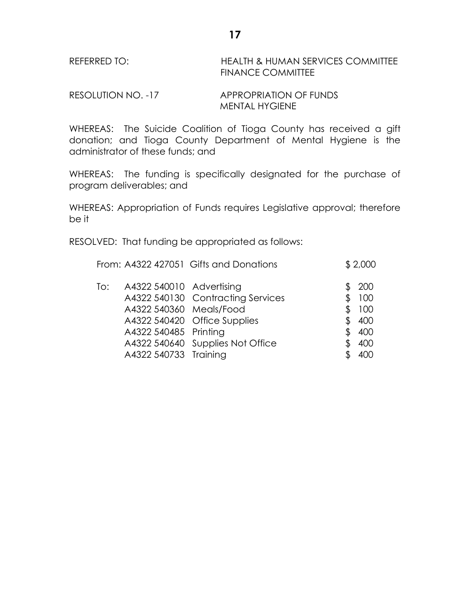## REFERRED TO: HEALTH & HUMAN SERVICES COMMITTEE FINANCE COMMITTEE

RESOLUTION NO. -17 APPROPRIATION OF FUNDS MENTAL HYGIENE

WHEREAS: The Suicide Coalition of Tioga County has received a gift donation; and Tioga County Department of Mental Hygiene is the administrator of these funds; and

WHEREAS: The funding is specifically designated for the purchase of program deliverables; and

WHEREAS: Appropriation of Funds requires Legislative approval; therefore be it

RESOLVED: That funding be appropriated as follows:

|     |                          | From: A4322 427051 Gifts and Donations |    | \$2,000       |
|-----|--------------------------|----------------------------------------|----|---------------|
| To: | A4322 540010 Advertising | A4322 540130 Contracting Services      |    | \$ 200<br>100 |
|     | A4322 540360 Meals/Food  |                                        |    | 100           |
|     | A4322 540485 Printing    | A4322 540420 Office Supplies           | Æ. | \$400<br>400  |
|     |                          | A4322 540640 Supplies Not Office       |    | 400           |
|     | A4322 540733 Training    |                                        |    |               |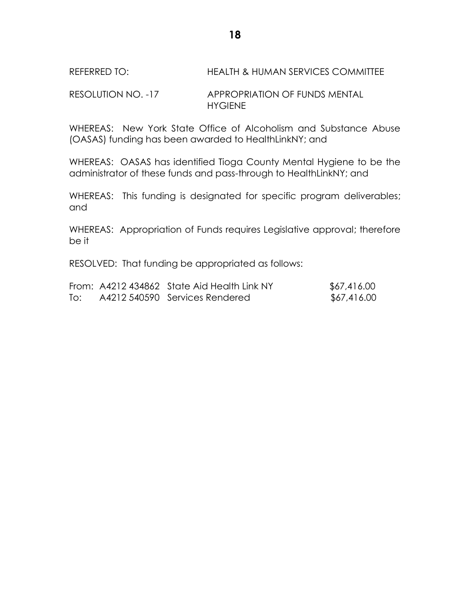## RESOLUTION NO. -17 APPROPRIATION OF FUNDS MENTAL HYGIENE

WHEREAS: New York State Office of Alcoholism and Substance Abuse (OASAS) funding has been awarded to HealthLinkNY; and

WHEREAS: OASAS has identified Tioga County Mental Hygiene to be the administrator of these funds and pass-through to HealthLinkNY; and

WHEREAS: This funding is designated for specific program deliverables; and

WHEREAS: Appropriation of Funds requires Legislative approval; therefore be it

RESOLVED: That funding be appropriated as follows:

|     | From: A4212 434862 State Aid Health Link NY | \$67,416.00 |
|-----|---------------------------------------------|-------------|
| To: | A4212 540590 Services Rendered              | \$67,416.00 |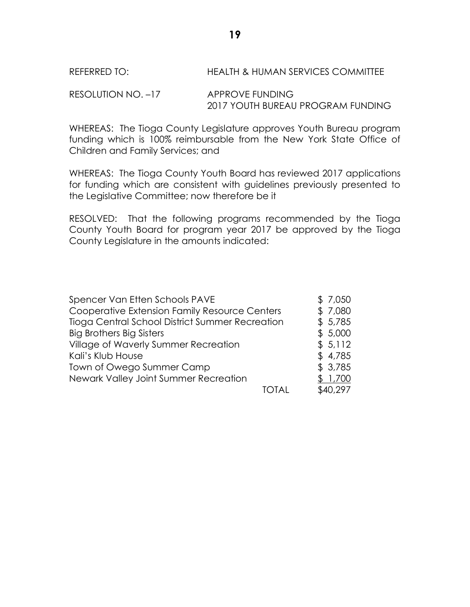RESOLUTION NO. -17 APPROVE FUNDING 2017 YOUTH BUREAU PROGRAM FUNDING

WHEREAS: The Tioga County Legislature approves Youth Bureau program funding which is 100% reimbursable from the New York State Office of Children and Family Services; and

WHEREAS: The Tioga County Youth Board has reviewed 2017 applications for funding which are consistent with guidelines previously presented to the Legislative Committee; now therefore be it

RESOLVED: That the following programs recommended by the Tioga County Youth Board for program year 2017 be approved by the Tioga County Legislature in the amounts indicated:

| Spencer Van Etten Schools PAVE                  | \$7,050  |
|-------------------------------------------------|----------|
| Cooperative Extension Family Resource Centers   | \$7,080  |
| Tioga Central School District Summer Recreation | \$5,785  |
| <b>Big Brothers Big Sisters</b>                 | \$5,000  |
| Village of Waverly Summer Recreation            | \$5,112  |
| Kali's Klub House                               | \$4,785  |
| Town of Owego Summer Camp                       | \$3,785  |
| Newark Valley Joint Summer Recreation           | 1,700    |
| ΤΩΤΑΙ                                           | \$40,297 |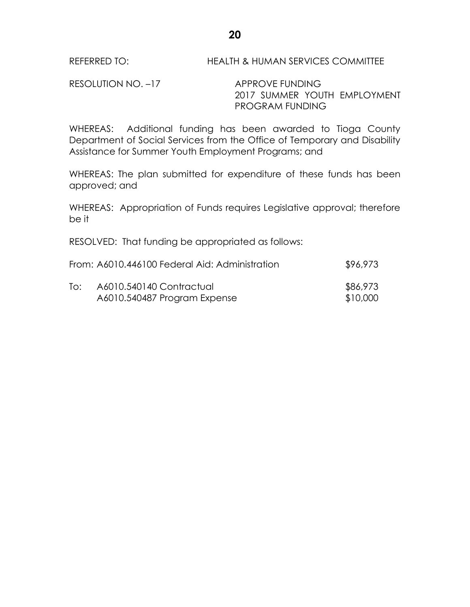RESOLUTION NO. -17 APPROVE FUNDING

2017 SUMMER YOUTH EMPLOYMENT PROGRAM FUNDING

WHEREAS: Additional funding has been awarded to Tioga County Department of Social Services from the Office of Temporary and Disability Assistance for Summer Youth Employment Programs; and

WHEREAS: The plan submitted for expenditure of these funds has been approved; and

WHEREAS: Appropriation of Funds requires Legislative approval; therefore be it

RESOLVED: That funding be appropriated as follows:

|     | From: A6010.446100 Federal Aid: Administration | \$96,973 |
|-----|------------------------------------------------|----------|
| To: | A6010.540140 Contractual                       | \$86,973 |
|     | A6010.540487 Program Expense                   | \$10,000 |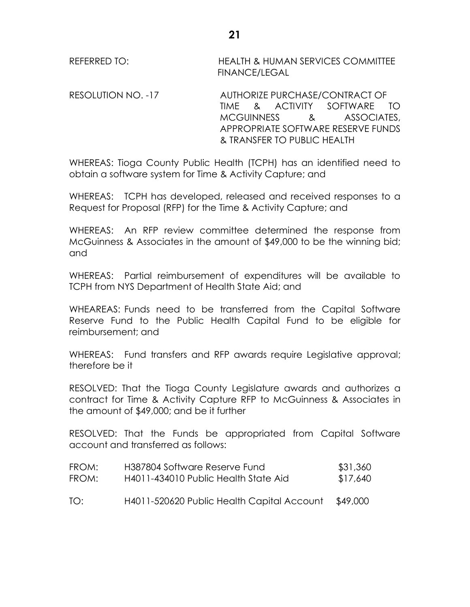REFERRED TO: HEALTH & HUMAN SERVICES COMMITTEE FINANCE/LEGAL

RESOLUTION NO. -17 AUTHORIZE PURCHASE/CONTRACT OF TIME & ACTIVITY SOFTWARE TO MCGUINNESS & ASSOCIATES, APPROPRIATE SOFTWARE RESERVE FUNDS & TRANSFER TO PUBLIC HEALTH

WHEREAS: Tioga County Public Health (TCPH) has an identified need to obtain a software system for Time & Activity Capture; and

WHEREAS: TCPH has developed, released and received responses to a Request for Proposal (RFP) for the Time & Activity Capture; and

WHEREAS: An RFP review committee determined the response from McGuinness & Associates in the amount of \$49,000 to be the winning bid; and

WHEREAS: Partial reimbursement of expenditures will be available to TCPH from NYS Department of Health State Aid; and

WHEAREAS: Funds need to be transferred from the Capital Software Reserve Fund to the Public Health Capital Fund to be eligible for reimbursement; and

WHEREAS: Fund transfers and RFP awards require Legislative approval; therefore be it

RESOLVED: That the Tioga County Legislature awards and authorizes a contract for Time & Activity Capture RFP to McGuinness & Associates in the amount of \$49,000; and be it further

RESOLVED: That the Funds be appropriated from Capital Software account and transferred as follows:

| FROM: | H387804 Software Reserve Fund              | \$31,360 |
|-------|--------------------------------------------|----------|
| FROM: | H4011-434010 Public Health State Aid       | \$17,640 |
| TO:   | H4011-520620 Public Health Capital Account | \$49,000 |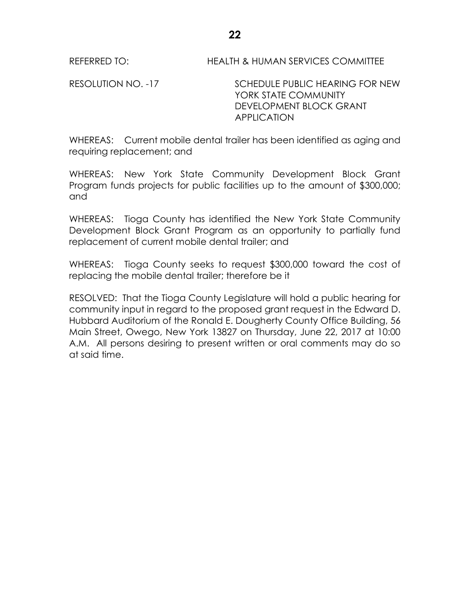RESOLUTION NO. -17 SCHEDULE PUBLIC HEARING FOR NEW YORK STATE COMMUNITY DEVELOPMENT BLOCK GRANT APPLICATION

WHEREAS: Current mobile dental trailer has been identified as aging and requiring replacement; and

WHEREAS: New York State Community Development Block Grant Program funds projects for public facilities up to the amount of \$300,000; and

WHEREAS: Tioga County has identified the New York State Community Development Block Grant Program as an opportunity to partially fund replacement of current mobile dental trailer; and

WHEREAS: Tioga County seeks to request \$300,000 toward the cost of replacing the mobile dental trailer; therefore be it

RESOLVED: That the Tioga County Legislature will hold a public hearing for community input in regard to the proposed grant request in the Edward D. Hubbard Auditorium of the Ronald E. Dougherty County Office Building, 56 Main Street, Owego, New York 13827 on Thursday, June 22, 2017 at 10:00 A.M. All persons desiring to present written or oral comments may do so at said time.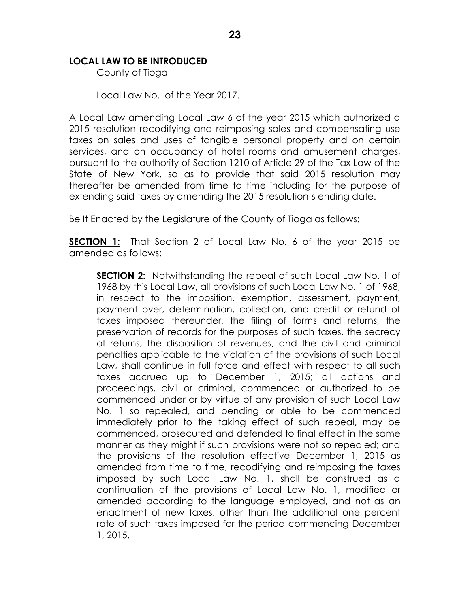# **LOCAL LAW TO BE INTRODUCED**

County of Tioga

Local Law No. of the Year 2017.

A Local Law amending Local Law 6 of the year 2015 which authorized a 2015 resolution recodifying and reimposing sales and compensating use taxes on sales and uses of tangible personal property and on certain services, and on occupancy of hotel rooms and amusement charges, pursuant to the authority of Section 1210 of Article 29 of the Tax Law of the State of New York, so as to provide that said 2015 resolution may thereafter be amended from time to time including for the purpose of extending said taxes by amending the 2015 resolution's ending date.

Be It Enacted by the Legislature of the County of Tioga as follows:

**SECTION 1:** That Section 2 of Local Law No. 6 of the year 2015 be amended as follows:

**SECTION 2:** Notwithstanding the repeal of such Local Law No. 1 of 1968 by this Local Law, all provisions of such Local Law No. 1 of 1968, in respect to the imposition, exemption, assessment, payment, payment over, determination, collection, and credit or refund of taxes imposed thereunder, the filing of forms and returns, the preservation of records for the purposes of such taxes, the secrecy of returns, the disposition of revenues, and the civil and criminal penalties applicable to the violation of the provisions of such Local Law, shall continue in full force and effect with respect to all such taxes accrued up to December 1, 2015; all actions and proceedings, civil or criminal, commenced or authorized to be commenced under or by virtue of any provision of such Local Law No. 1 so repealed, and pending or able to be commenced immediately prior to the taking effect of such repeal, may be commenced, prosecuted and defended to final effect in the same manner as they might if such provisions were not so repealed; and the provisions of the resolution effective December 1, 2015 as amended from time to time, recodifying and reimposing the taxes imposed by such Local Law No. 1, shall be construed as a continuation of the provisions of Local Law No. 1, modified or amended according to the language employed, and not as an enactment of new taxes, other than the additional one percent rate of such taxes imposed for the period commencing December 1, 2015.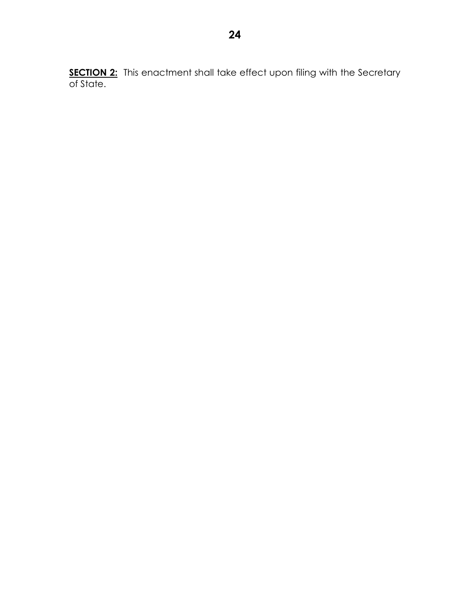**SECTION 2:** This enactment shall take effect upon filing with the Secretary of State.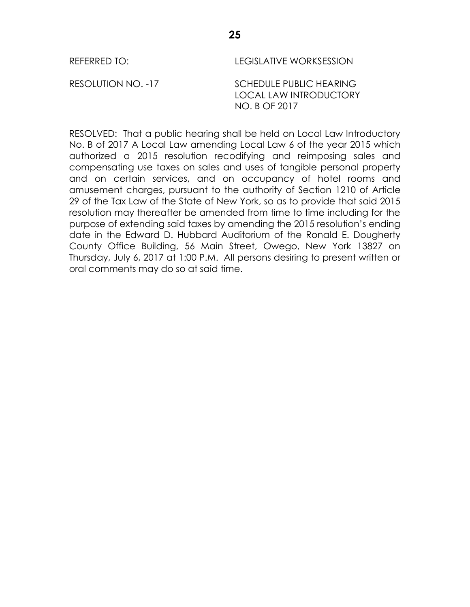REFERRED TO: LEGISLATIVE WORKSESSION

RESOLUTION NO. -17 SCHEDULE PUBLIC HEARING LOCAL LAW INTRODUCTORY NO. B OF 2017

RESOLVED: That a public hearing shall be held on Local Law Introductory No. B of 2017 A Local Law amending Local Law 6 of the year 2015 which authorized a 2015 resolution recodifying and reimposing sales and compensating use taxes on sales and uses of tangible personal property and on certain services, and on occupancy of hotel rooms and amusement charges, pursuant to the authority of Section 1210 of Article 29 of the Tax Law of the State of New York, so as to provide that said 2015 resolution may thereafter be amended from time to time including for the purpose of extending said taxes by amending the 2015 resolution's ending date in the Edward D. Hubbard Auditorium of the Ronald E. Dougherty County Office Building, 56 Main Street, Owego, New York 13827 on Thursday, July 6, 2017 at 1:00 P.M. All persons desiring to present written or oral comments may do so at said time.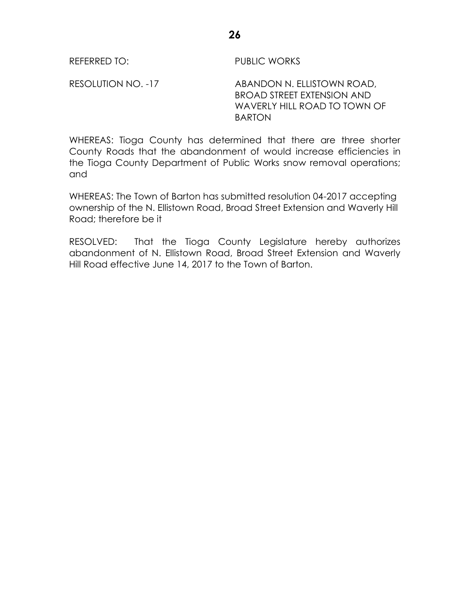RESOLUTION NO. -17 ABANDON N. ELLISTOWN ROAD, BROAD STREET EXTENSION AND WAVERLY HILL ROAD TO TOWN OF BARTON

WHEREAS: Tioga County has determined that there are three shorter County Roads that the abandonment of would increase efficiencies in the Tioga County Department of Public Works snow removal operations; and

WHEREAS: The Town of Barton has submitted resolution 04-2017 accepting ownership of the N. Ellistown Road, Broad Street Extension and Waverly Hill Road; therefore be it

RESOLVED: That the Tioga County Legislature hereby authorizes abandonment of N. Ellistown Road, Broad Street Extension and Waverly Hill Road effective June 14, 2017 to the Town of Barton.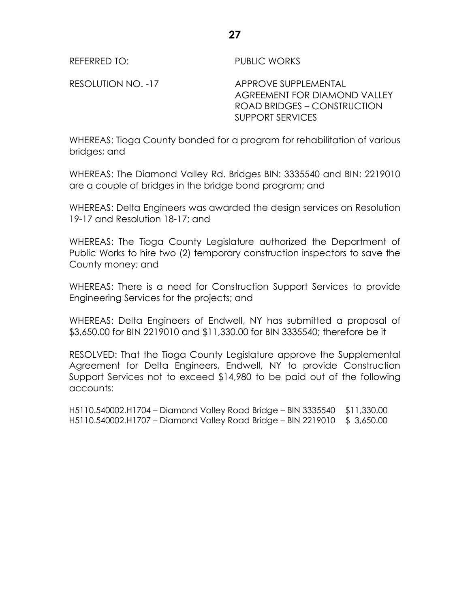RESOLUTION NO. -17 APPROVE SUPPLEMENTAL AGREEMENT FOR DIAMOND VALLEY ROAD BRIDGES – CONSTRUCTION SUPPORT SERVICES

WHEREAS: Tioga County bonded for a program for rehabilitation of various bridges; and

WHEREAS: The Diamond Valley Rd. Bridges BIN: 3335540 and BIN: 2219010 are a couple of bridges in the bridge bond program; and

WHEREAS: Delta Engineers was awarded the design services on Resolution 19-17 and Resolution 18-17; and

WHEREAS: The Tioga County Legislature authorized the Department of Public Works to hire two (2) temporary construction inspectors to save the County money; and

WHEREAS: There is a need for Construction Support Services to provide Engineering Services for the projects; and

WHEREAS: Delta Engineers of Endwell, NY has submitted a proposal of \$3,650.00 for BIN 2219010 and \$11,330.00 for BIN 3335540; therefore be it

RESOLVED: That the Tioga County Legislature approve the Supplemental Agreement for Delta Engineers, Endwell, NY to provide Construction Support Services not to exceed \$14,980 to be paid out of the following accounts:

H5110.540002.H1704 – Diamond Valley Road Bridge – BIN 3335540 \$11,330.00 H5110.540002.H1707 – Diamond Valley Road Bridge – BIN 2219010 \$ 3,650.00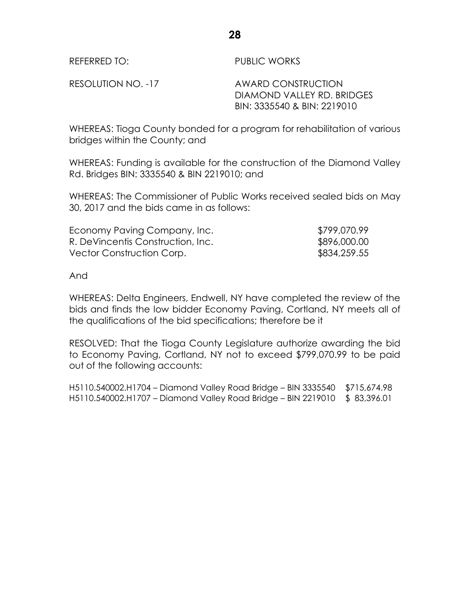RESOLUTION NO. -17 AWARD CONSTRUCTION DIAMOND VALLEY RD. BRIDGES BIN: 3335540 & BIN: 2219010

WHEREAS: Tioga County bonded for a program for rehabilitation of various bridges within the County; and

WHEREAS: Funding is available for the construction of the Diamond Valley Rd. Bridges BIN: 3335540 & BIN 2219010; and

WHEREAS: The Commissioner of Public Works received sealed bids on May 30, 2017 and the bids came in as follows:

| Economy Paving Company, Inc.      | \$799,070.99 |
|-----------------------------------|--------------|
| R. DeVincentis Construction, Inc. | \$896,000.00 |
| Vector Construction Corp.         | \$834,259.55 |

And

WHEREAS: Delta Engineers, Endwell, NY have completed the review of the bids and finds the low bidder Economy Paving, Cortland, NY meets all of the qualifications of the bid specifications; therefore be it

RESOLVED: That the Tioga County Legislature authorize awarding the bid to Economy Paving, Cortland, NY not to exceed \$799,070.99 to be paid out of the following accounts:

H5110.540002.H1704 – Diamond Valley Road Bridge – BIN 3335540 \$715,674.98 H5110.540002.H1707 – Diamond Valley Road Bridge – BIN 2219010 \$ 83,396.01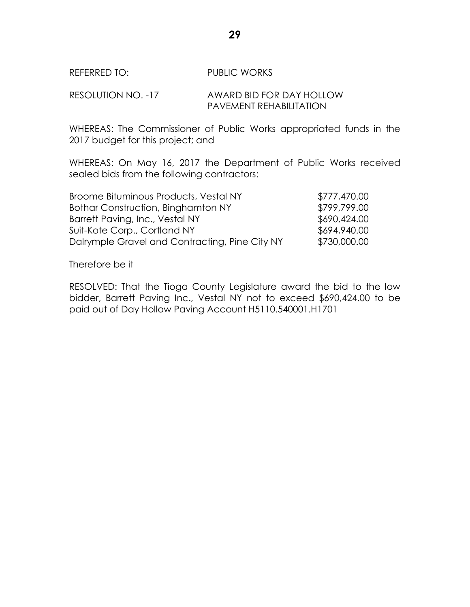## RESOLUTION NO. -17 AWARD BID FOR DAY HOLLOW PAVEMENT REHABILITATION

WHEREAS: The Commissioner of Public Works appropriated funds in the 2017 budget for this project; and

WHEREAS: On May 16, 2017 the Department of Public Works received sealed bids from the following contractors:

| Broome Bituminous Products, Vestal NY          | \$777,470.00 |
|------------------------------------------------|--------------|
| Bothar Construction, Binghamton NY             | \$799,799.00 |
| Barrett Paving, Inc., Vestal NY                | \$690,424.00 |
| Suit-Kote Corp., Cortland NY                   | \$694,940.00 |
| Dalrymple Gravel and Contracting, Pine City NY | \$730,000.00 |

Therefore be it

RESOLVED: That the Tioga County Legislature award the bid to the low bidder, Barrett Paving Inc., Vestal NY not to exceed \$690,424.00 to be paid out of Day Hollow Paving Account H5110.540001.H1701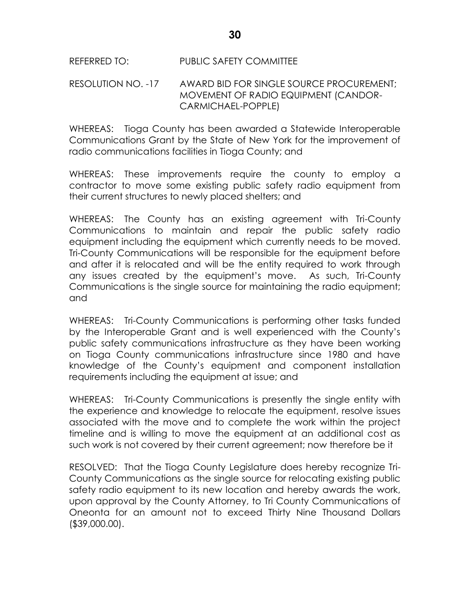## REFERRED TO: PUBLIC SAFETY COMMITTEE

#### RESOLUTION NO. -17 AWARD BID FOR SINGLE SOURCE PROCUREMENT; MOVEMENT OF RADIO EQUIPMENT (CANDOR-CARMICHAEL-POPPLE)

WHEREAS: Tioga County has been awarded a Statewide Interoperable Communications Grant by the State of New York for the improvement of radio communications facilities in Tioga County; and

WHEREAS: These improvements require the county to employ a contractor to move some existing public safety radio equipment from their current structures to newly placed shelters; and

WHEREAS: The County has an existing agreement with Tri-County Communications to maintain and repair the public safety radio equipment including the equipment which currently needs to be moved. Tri-County Communications will be responsible for the equipment before and after it is relocated and will be the entity required to work through any issues created by the equipment's move. As such, Tri-County Communications is the single source for maintaining the radio equipment; and

WHEREAS: Tri-County Communications is performing other tasks funded by the Interoperable Grant and is well experienced with the County's public safety communications infrastructure as they have been working on Tioga County communications infrastructure since 1980 and have knowledge of the County's equipment and component installation requirements including the equipment at issue; and

WHEREAS: Tri-County Communications is presently the single entity with the experience and knowledge to relocate the equipment, resolve issues associated with the move and to complete the work within the project timeline and is willing to move the equipment at an additional cost as such work is not covered by their current agreement; now therefore be it

RESOLVED: That the Tioga County Legislature does hereby recognize Tri-County Communications as the single source for relocating existing public safety radio equipment to its new location and hereby awards the work, upon approval by the County Attorney, to Tri County Communications of Oneonta for an amount not to exceed Thirty Nine Thousand Dollars (\$39,000.00).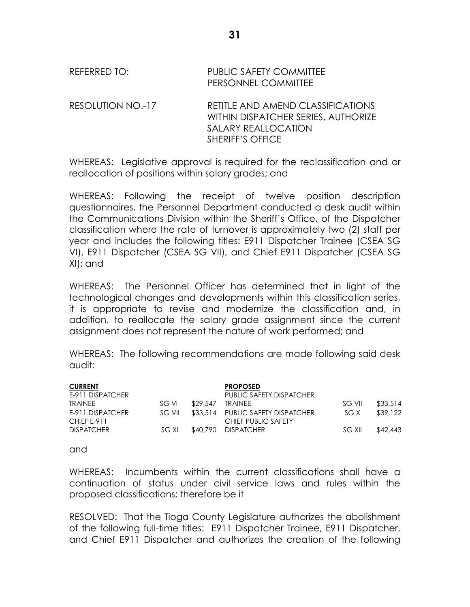REFERRED TO: PUBLIC SAFETY COMMITTEE PERSONNEL COMMITTEE

RESOLUTION NO.-17 RETITLE AND AMEND CLASSIFICATIONS WITHIN DISPATCHER SERIES, AUTHORIZE SALARY REALLOCATION SHERIFF'S OFFICE

WHEREAS: Legislative approval is required for the reclassification and or reallocation of positions within salary grades; and

WHEREAS: Following the receipt of twelve position description questionnaires, the Personnel Department conducted a desk audit within the Communications Division within the Sheriff's Office, of the Dispatcher classification where the rate of turnover is approximately two (2) staff per year and includes the following titles: E911 Dispatcher Trainee (CSEA SG VI), E911 Dispatcher (CSEA SG VII), and Chief E911 Dispatcher (CSEA SG XI); and

WHEREAS: The Personnel Officer has determined that in light of the technological changes and developments within this classification series, it is appropriate to revise and modernize the classification and, in addition, to reallocate the salary grade assignment since the current assignment does not represent the nature of work performed; and

WHEREAS: The following recommendations are made following said desk audit:

| <b>CURRENT</b>                  |        |          | <b>PROPOSED</b>                                          |        |          |
|---------------------------------|--------|----------|----------------------------------------------------------|--------|----------|
| E-911 DISPATCHER                |        |          | PUBLIC SAFETY DISPATCHER                                 |        |          |
| <b>TRAINEE</b>                  | SG VI  | \$29.547 | TRAINEE                                                  | SG VII | \$33.514 |
| E-911 DISPATCHER<br>CHIEF E-911 | SG VII |          | \$33,514 PUBLIC SAFETY DISPATCHER<br>CHIEF PUBLIC SAFETY | SG X   | \$39.122 |
| <b>DISPATCHER</b>               | SG XI  |          | \$40.790 DISPATCHER                                      | SG XII | \$42.443 |

and

WHEREAS: Incumbents within the current classifications shall have a continuation of status under civil service laws and rules within the proposed classifications; therefore be it

RESOLVED: That the Tioga County Legislature authorizes the abolishment of the following full-time titles: E911 Dispatcher Trainee, E911 Dispatcher, and Chief E911 Dispatcher and authorizes the creation of the following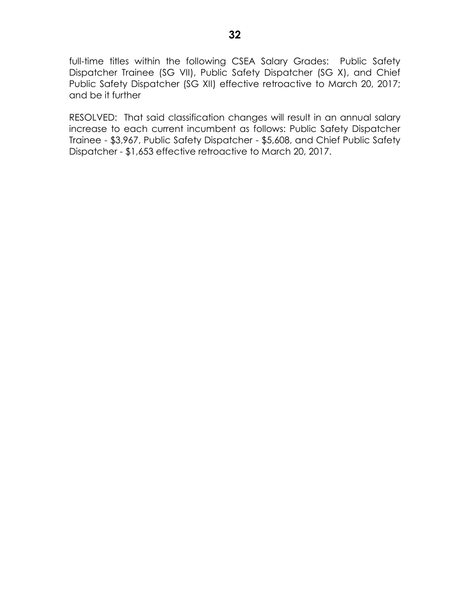full-time titles within the following CSEA Salary Grades: Public Safety Dispatcher Trainee (SG VII), Public Safety Dispatcher (SG X), and Chief Public Safety Dispatcher (SG XII) effective retroactive to March 20, 2017; and be it further

RESOLVED: That said classification changes will result in an annual salary increase to each current incumbent as follows: Public Safety Dispatcher Trainee - \$3,967, Public Safety Dispatcher - \$5,608, and Chief Public Safety Dispatcher - \$1,653 effective retroactive to March 20, 2017.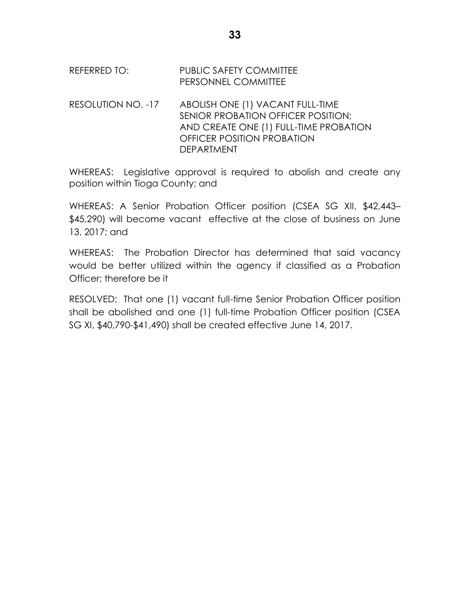| REFERRED TO: | <b>PUBLIC SAFETY COMMITTEE</b> |
|--------------|--------------------------------|
|              | PERSONNEL COMMITTEE            |

RESOLUTION NO. -17 ABOLISH ONE (1) VACANT FULL-TIME SENIOR PROBATION OFFICER POSITION; AND CREATE ONE (1) FULL-TIME PROBATION OFFICER POSITION PROBATION DEPARTMENT

WHEREAS: Legislative approval is required to abolish and create any position within Tioga County; and

WHEREAS: A Senior Probation Officer position (CSEA SG XII, \$42,443– \$45,290) will become vacant effective at the close of business on June 13, 2017; and

WHEREAS: The Probation Director has determined that said vacancy would be better utilized within the agency if classified as a Probation Officer; therefore be it

RESOLVED: That one (1) vacant full-time Senior Probation Officer position shall be abolished and one (1) full-time Probation Officer position (CSEA SG XI, \$40,790-\$41,490) shall be created effective June 14, 2017.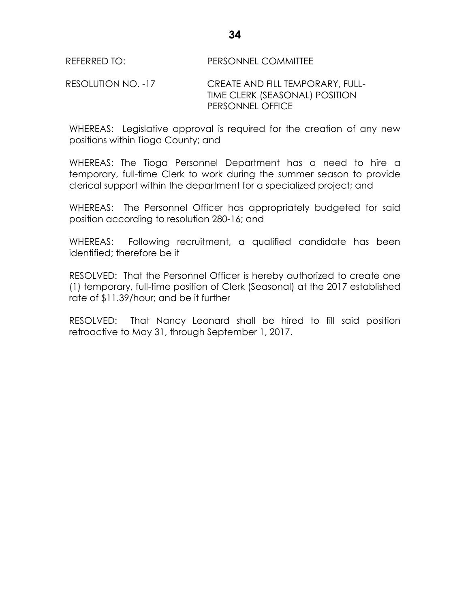### RESOLUTION NO. -17 CREATE AND FILL TEMPORARY, FULL-TIME CLERK (SEASONAL) POSITION PERSONNEL OFFICE

WHEREAS: Legislative approval is required for the creation of any new positions within Tioga County; and

WHEREAS: The Tioga Personnel Department has a need to hire a temporary, full-time Clerk to work during the summer season to provide clerical support within the department for a specialized project; and

WHEREAS: The Personnel Officer has appropriately budgeted for said position according to resolution 280-16; and

WHEREAS: Following recruitment, a qualified candidate has been identified; therefore be it

RESOLVED: That the Personnel Officer is hereby authorized to create one (1) temporary, full-time position of Clerk (Seasonal) at the 2017 established rate of \$11.39/hour; and be it further

RESOLVED: That Nancy Leonard shall be hired to fill said position retroactive to May 31, through September 1, 2017.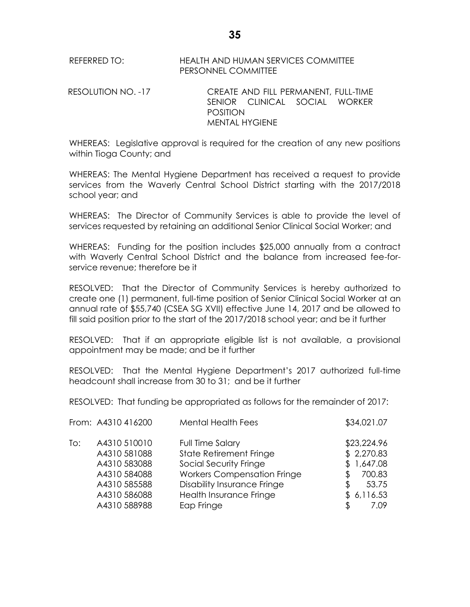REFERRED TO: HEALTH AND HUMAN SERVICES COMMITTEE PERSONNEL COMMITTEE

RESOLUTION NO. -17 CREATE AND FILL PERMANENT, FULL-TIME SENIOR CLINICAL SOCIAL WORKER POSITION MENTAL HYGIENE

WHEREAS: Legislative approval is required for the creation of any new positions within Tioga County; and

WHEREAS: The Mental Hygiene Department has received a request to provide services from the Waverly Central School District starting with the 2017/2018 school year; and

WHEREAS: The Director of Community Services is able to provide the level of services requested by retaining an additional Senior Clinical Social Worker; and

WHEREAS: Funding for the position includes \$25,000 annually from a contract with Waverly Central School District and the balance from increased fee-forservice revenue; therefore be it

RESOLVED: That the Director of Community Services is hereby authorized to create one (1) permanent, full-time position of Senior Clinical Social Worker at an annual rate of \$55,740 (CSEA SG XVII) effective June 14, 2017 and be allowed to fill said position prior to the start of the 2017/2018 school year; and be it further

RESOLVED: That if an appropriate eligible list is not available, a provisional appointment may be made; and be it further

RESOLVED: That the Mental Hygiene Department's 2017 authorized full-time headcount shall increase from 30 to 31; and be it further

RESOLVED: That funding be appropriated as follows for the remainder of 2017:

|     | From: A4310 416200                                                                                           | <b>Mental Health Fees</b>                                                                                                                                                                  | \$34,021.07                                                                           |
|-----|--------------------------------------------------------------------------------------------------------------|--------------------------------------------------------------------------------------------------------------------------------------------------------------------------------------------|---------------------------------------------------------------------------------------|
| To: | A4310 510010<br>A4310 581088<br>A4310 583088<br>A4310 584088<br>A4310 585588<br>A4310 586088<br>A4310 588988 | Full Time Salary<br>State Retirement Fringe<br>Social Security Fringe<br><b>Workers Compensation Fringe</b><br><b>Disability Insurance Fringe</b><br>Health Insurance Fringe<br>Eap Fringe | \$23,224.96<br>\$2,270.83<br>\$1,647.08<br>700.83<br>53.75<br>£<br>\$6,116.53<br>7.09 |
|     |                                                                                                              |                                                                                                                                                                                            |                                                                                       |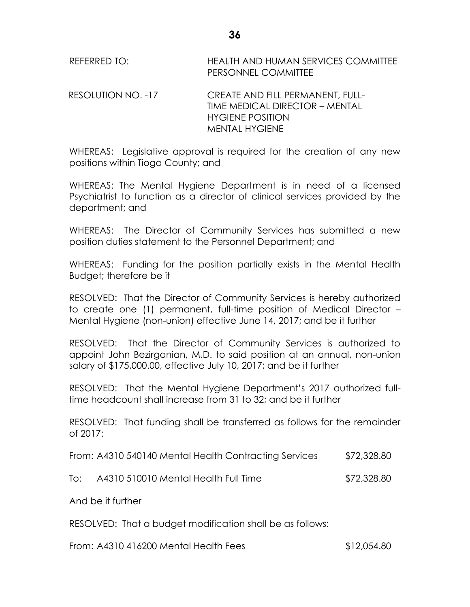REFERRED TO: HEALTH AND HUMAN SERVICES COMMITTEE PERSONNEL COMMITTEE

RESOLUTION NO. -17 CREATE AND FILL PERMANENT, FULL-TIME MEDICAL DIRECTOR – MENTAL HYGIENE POSITION MENTAL HYGIENE

WHEREAS: Legislative approval is required for the creation of any new positions within Tioga County; and

WHEREAS: The Mental Hygiene Department is in need of a licensed Psychiatrist to function as a director of clinical services provided by the department; and

WHEREAS: The Director of Community Services has submitted a new position duties statement to the Personnel Department; and

WHEREAS: Funding for the position partially exists in the Mental Health Budget; therefore be it

RESOLVED: That the Director of Community Services is hereby authorized to create one (1) permanent, full-time position of Medical Director – Mental Hygiene (non-union) effective June 14, 2017; and be it further

RESOLVED: That the Director of Community Services is authorized to appoint John Bezirganian, M.D. to said position at an annual, non-union salary of \$175,000.00, effective July 10, 2017; and be it further

RESOLVED: That the Mental Hygiene Department's 2017 authorized fulltime headcount shall increase from 31 to 32; and be it further

RESOLVED: That funding shall be transferred as follows for the remainder of 2017:

| From: A4310 540140 Mental Health Contracting Services | \$72,328.80 |
|-------------------------------------------------------|-------------|
|-------------------------------------------------------|-------------|

To: A4310 510010 Mental Health Full Time \$72,328.80

And be it further

RESOLVED: That a budget modification shall be as follows:

From: A4310 416200 Mental Health Fees \$12,054.80